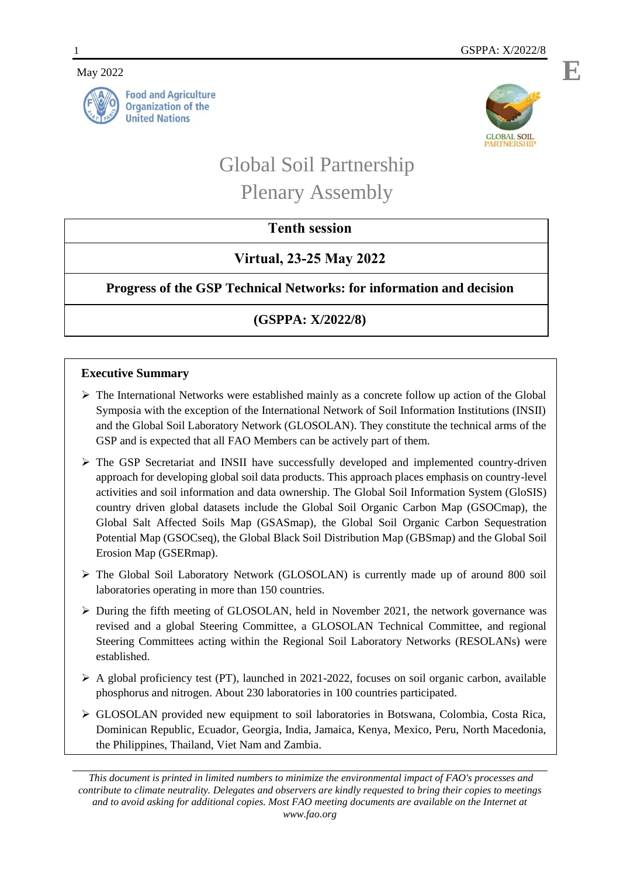## May 2022





# Global Soil Partnership Plenary Assembly

# **Tenth session**

# **Virtual, 23-25 May 2022**

**Progress of the GSP Technical Networks: for information and decision** 

# **(GSPPA: X/2022/8)**

# **Executive Summary**

- $\triangleright$  The International Networks were established mainly as a concrete follow up action of the Global Symposia with the exception of the International Network of Soil Information Institutions (INSII) and the Global Soil Laboratory Network (GLOSOLAN). They constitute the technical arms of the GSP and is expected that all FAO Members can be actively part of them.
- $\triangleright$  The GSP Secretariat and INSII have successfully developed and implemented country-driven approach for developing global soil data products. This approach places emphasis on country-level activities and soil information and data ownership. The Global Soil Information System (GloSIS) country driven global datasets include the Global Soil Organic Carbon Map (GSOCmap), the Global Salt Affected Soils Map (GSASmap), the Global Soil Organic Carbon Sequestration Potential Map (GSOCseq), the Global Black Soil Distribution Map (GBSmap) and the Global Soil Erosion Map (GSERmap).
- The Global Soil Laboratory Network (GLOSOLAN) is currently made up of around 800 soil laboratories operating in more than 150 countries.
- $\triangleright$  During the fifth meeting of GLOSOLAN, held in November 2021, the network governance was revised and a global Steering Committee, a GLOSOLAN Technical Committee, and regional Steering Committees acting within the Regional Soil Laboratory Networks (RESOLANs) were established.
- $\triangleright$  A global proficiency test (PT), launched in 2021-2022, focuses on soil organic carbon, available phosphorus and nitrogen. About 230 laboratories in 100 countries participated.
- GLOSOLAN provided new equipment to soil laboratories in Botswana, Colombia, Costa Rica, Dominican Republic, Ecuador, Georgia, India, Jamaica, Kenya, Mexico, Peru, North Macedonia, the Philippines, Thailand, Viet Nam and Zambia.

*This document is printed in limited numbers to minimize the environmental impact of FAO's processes and contribute to climate neutrality. Delegates and observers are kindly requested to bring their copies to meetings and to avoid asking for additional copies. Most FAO meeting documents are available on the Internet at www.fao.org*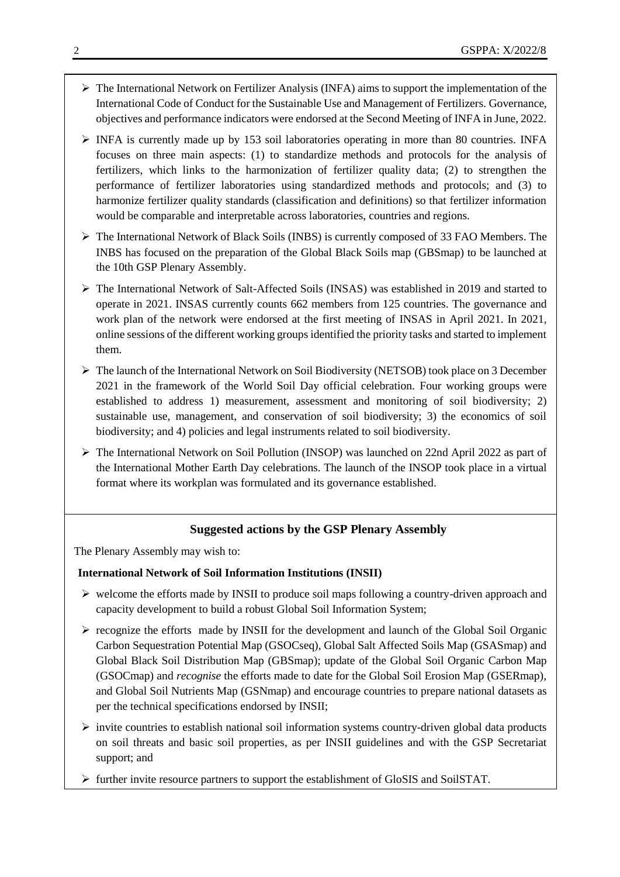- $\triangleright$  The International Network on Fertilizer Analysis (INFA) aims to support the implementation of the International Code of Conduct for the Sustainable Use and Management of Fertilizers. Governance, objectives and performance indicators were endorsed at the Second Meeting of INFA in June, 2022.
- $\triangleright$  INFA is currently made up by 153 soil laboratories operating in more than 80 countries. INFA focuses on three main aspects: (1) to standardize methods and protocols for the analysis of fertilizers, which links to the harmonization of fertilizer quality data; (2) to strengthen the performance of fertilizer laboratories using standardized methods and protocols; and (3) to harmonize fertilizer quality standards (classification and definitions) so that fertilizer information would be comparable and interpretable across laboratories, countries and regions.
- $\triangleright$  The International Network of Black Soils (INBS) is currently composed of 33 FAO Members. The INBS has focused on the preparation of the Global Black Soils map (GBSmap) to be launched at the 10th GSP Plenary Assembly.
- $\triangleright$  The International Network of Salt-Affected Soils (INSAS) was established in 2019 and started to operate in 2021. INSAS currently counts 662 members from 125 countries. The governance and work plan of the network were endorsed at the first meeting of INSAS in April 2021. In 2021, online sessions of the different working groups identified the priority tasks and started to implement them.
- $\triangleright$  The launch of the International Network on Soil Biodiversity (NETSOB) took place on 3 December 2021 in the framework of the World Soil Day official celebration. Four working groups were established to address 1) measurement, assessment and monitoring of soil biodiversity; 2) sustainable use, management, and conservation of soil biodiversity; 3) the economics of soil biodiversity; and 4) policies and legal instruments related to soil biodiversity.
- $\triangleright$  The International Network on Soil Pollution (INSOP) was launched on 22nd April 2022 as part of the International Mother Earth Day celebrations. The launch of the INSOP took place in a virtual format where its workplan was formulated and its governance established.

# **Suggested actions by the GSP Plenary Assembly**

The Plenary Assembly may wish to:

### **International Network of Soil Information Institutions (INSII)**

- $\triangleright$  welcome the efforts made by INSII to produce soil maps following a country-driven approach and capacity development to build a robust Global Soil Information System;
- $\triangleright$  recognize the efforts made by INSII for the development and launch of the Global Soil Organic Carbon Sequestration Potential Map (GSOCseq), Global Salt Affected Soils Map (GSASmap) and Global Black Soil Distribution Map (GBSmap); update of the Global Soil Organic Carbon Map (GSOCmap) and *recognise* the efforts made to date for the Global Soil Erosion Map (GSERmap), and Global Soil Nutrients Map (GSNmap) and encourage countries to prepare national datasets as per the technical specifications endorsed by INSII;
- $\triangleright$  invite countries to establish national soil information systems country-driven global data products on soil threats and basic soil properties, as per INSII guidelines and with the GSP Secretariat support; and
- $\triangleright$  further invite resource partners to support the establishment of GloSIS and SoilSTAT.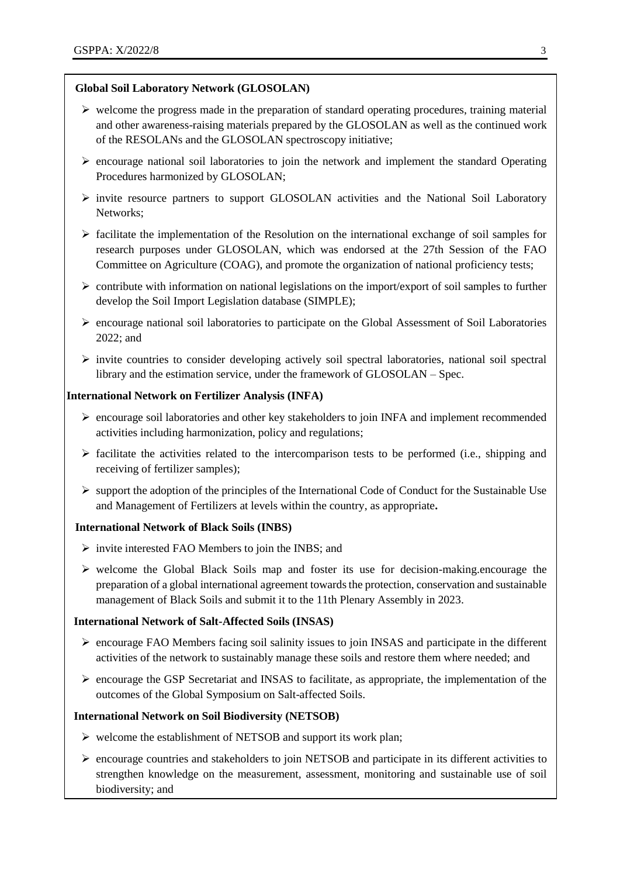# **Global Soil Laboratory Network (GLOSOLAN)**

- $\triangleright$  welcome the progress made in the preparation of standard operating procedures, training material and other awareness-raising materials prepared by the GLOSOLAN as well as the continued work of the RESOLANs and the GLOSOLAN spectroscopy initiative;
- $\triangleright$  encourage national soil laboratories to join the network and implement the standard Operating Procedures harmonized by GLOSOLAN;
- $\triangleright$  invite resource partners to support GLOSOLAN activities and the National Soil Laboratory Networks;
- $\triangleright$  facilitate the implementation of the Resolution on the international exchange of soil samples for research purposes under GLOSOLAN, which was endorsed at the 27th Session of the FAO Committee on Agriculture (COAG), and promote the organization of national proficiency tests;
- $\triangleright$  contribute with information on national legislations on the import/export of soil samples to further develop the Soil Import Legislation database (SIMPLE);
- $\triangleright$  encourage national soil laboratories to participate on the Global Assessment of Soil Laboratories 2022; and
- $\triangleright$  invite countries to consider developing actively soil spectral laboratories, national soil spectral library and the estimation service, under the framework of GLOSOLAN – Spec.

#### **International Network on Fertilizer Analysis (INFA)**

- $\triangleright$  encourage soil laboratories and other key stakeholders to join INFA and implement recommended activities including harmonization, policy and regulations;
- $\triangleright$  facilitate the activities related to the intercomparison tests to be performed (i.e., shipping and receiving of fertilizer samples);
- $\triangleright$  support the adoption of the principles of the International Code of Conduct for the Sustainable Use and Management of Fertilizers at levels within the country, as appropriate**.**

### **International Network of Black Soils (INBS)**

- $\triangleright$  invite interested FAO Members to join the INBS; and
- $\triangleright$  welcome the Global Black Soils map and foster its use for decision-making.encourage the preparation of a global international agreement towards the protection, conservation and sustainable management of Black Soils and submit it to the 11th Plenary Assembly in 2023.

# **International Network of Salt-Affected Soils (INSAS)**

- encourage FAO Members facing soil salinity issues to join INSAS and participate in the different activities of the network to sustainably manage these soils and restore them where needed; and
- $\triangleright$  encourage the GSP Secretariat and INSAS to facilitate, as appropriate, the implementation of the outcomes of the Global Symposium on Salt-affected Soils.

### **International Network on Soil Biodiversity (NETSOB)**

- $\triangleright$  welcome the establishment of NETSOB and support its work plan;
- $\triangleright$  encourage countries and stakeholders to join NETSOB and participate in its different activities to strengthen knowledge on the measurement, assessment, monitoring and sustainable use of soil biodiversity; and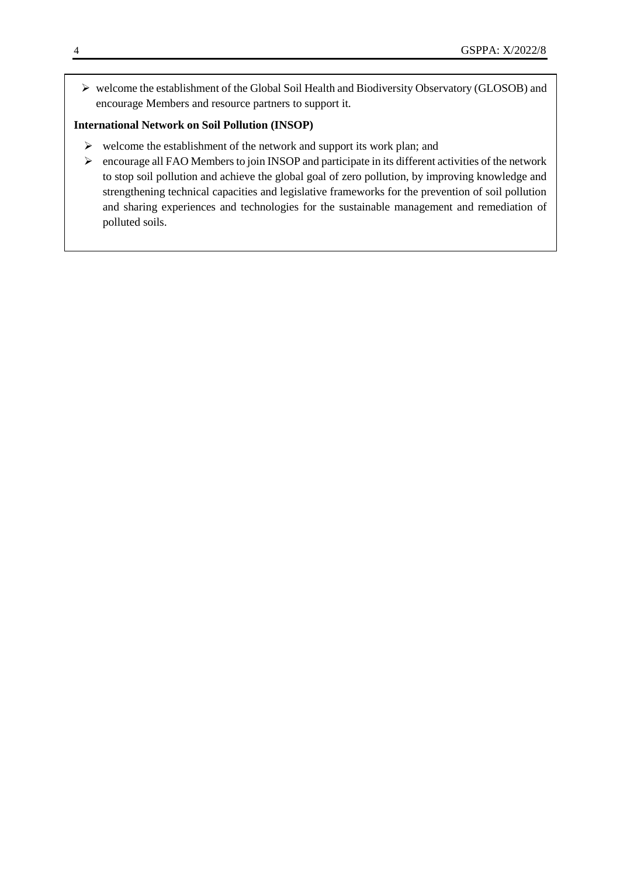welcome the establishment of the Global Soil Health and Biodiversity Observatory (GLOSOB) and encourage Members and resource partners to support it.

## **International Network on Soil Pollution (INSOP)**

- $\triangleright$  welcome the establishment of the network and support its work plan; and
- $\triangleright$  encourage all FAO Members to join INSOP and participate in its different activities of the network to stop soil pollution and achieve the global goal of zero pollution, by improving knowledge and strengthening technical capacities and legislative frameworks for the prevention of soil pollution and sharing experiences and technologies for the sustainable management and remediation of polluted soils.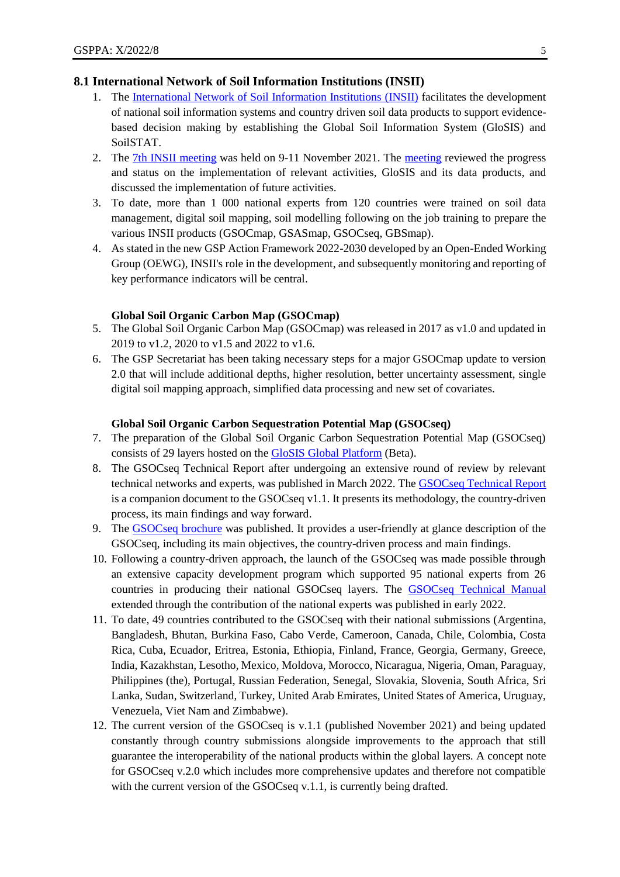## **8.1 International Network of Soil Information Institutions (INSII)**

- 1. The [International Network of Soil Information Institutions \(INSII\)](https://www.fao.org/global-soil-partnership/insii/en/) facilitates the development of national soil information systems and country driven soil data products to support evidencebased decision making by establishing the Global Soil Information System (GloSIS) and SoilSTAT.
- 2. The [7th INSII meeting](https://www.fao.org/3/cb8348en/cb8348en.pdf) was held on 9-11 November 2021. The [meeting](https://www.fao.org/3/cb8348en/cb8348en.pdf) reviewed the progress and status on the implementation of relevant activities, GloSIS and its data products, and discussed the implementation of future activities.
- 3. To date, more than 1 000 national experts from 120 countries were trained on soil data management, digital soil mapping, soil modelling following on the job training to prepare the various INSII products (GSOCmap, GSASmap, GSOCseq, GBSmap).
- 4. As stated in the new GSP Action Framework 2022-2030 developed by an Open-Ended Working Group (OEWG), INSII's role in the development, and subsequently monitoring and reporting of key performance indicators will be central.

#### **Global Soil Organic Carbon Map (GSOCmap)**

- 5. The Global Soil Organic Carbon Map (GSOCmap) was released in 2017 as v1.0 and updated in 2019 to v1.2, 2020 to v1.5 and 2022 to v1.6.
- 6. The GSP Secretariat has been taking necessary steps for a major GSOCmap update to version 2.0 that will include additional depths, higher resolution, better uncertainty assessment, single digital soil mapping approach, simplified data processing and new set of covariates.

#### **Global Soil Organic Carbon Sequestration Potential Map (GSOCseq)**

- 7. The preparation of the Global Soil Organic Carbon Sequestration Potential Map (GSOCseq) consists of 29 layers hosted on the [GloSIS Global Platform](http://54.229.242.119/GloSIS/) (Beta).
- 8. The GSOCseq Technical Report after undergoing an extensive round of review by relevant technical networks and experts, was published in March 2022. The [GSOCseq Technical Report](https://www.fao.org/documents/card/en/c/cb9002en/) is a companion document to the GSOCseq v1.1. It presents its methodology, the country-driven process, its main findings and way forward.
- 9. The [GSOCseq brochure](https://www.fao.org/documents/card/en/c/cb8913en) was published. It provides a user-friendly at glance description of the GSOCseq, including its main objectives, the country-driven process and main findings.
- 10. Following a country-driven approach, the launch of the GSOCseq was made possible through an extensive capacity development program which supported 95 national experts from 26 countries in producing their national GSOCseq layers. The [GSOCseq Technical Manual](https://www.fao.org/documents/card/en/c/cb2642en) extended through the contribution of the national experts was published in early 2022.
- 11. To date, 49 countries contributed to the GSOCseq with their national submissions (Argentina, Bangladesh, Bhutan, Burkina Faso, Cabo Verde, Cameroon, Canada, Chile, Colombia, Costa Rica, Cuba, Ecuador, Eritrea, Estonia, Ethiopia, Finland, France, Georgia, Germany, Greece, India, Kazakhstan, Lesotho, Mexico, Moldova, Morocco, Nicaragua, Nigeria, Oman, Paraguay, Philippines (the), Portugal, Russian Federation, Senegal, Slovakia, Slovenia, South Africa, Sri Lanka, Sudan, Switzerland, Turkey, United Arab Emirates, United States of America, Uruguay, Venezuela, Viet Nam and Zimbabwe).
- 12. The current version of the GSOCseq is v.1.1 (published November 2021) and being updated constantly through country submissions alongside improvements to the approach that still guarantee the interoperability of the national products within the global layers. A concept note for GSOCseq v.2.0 which includes more comprehensive updates and therefore not compatible with the current version of the GSOCseq v.1.1, is currently being drafted.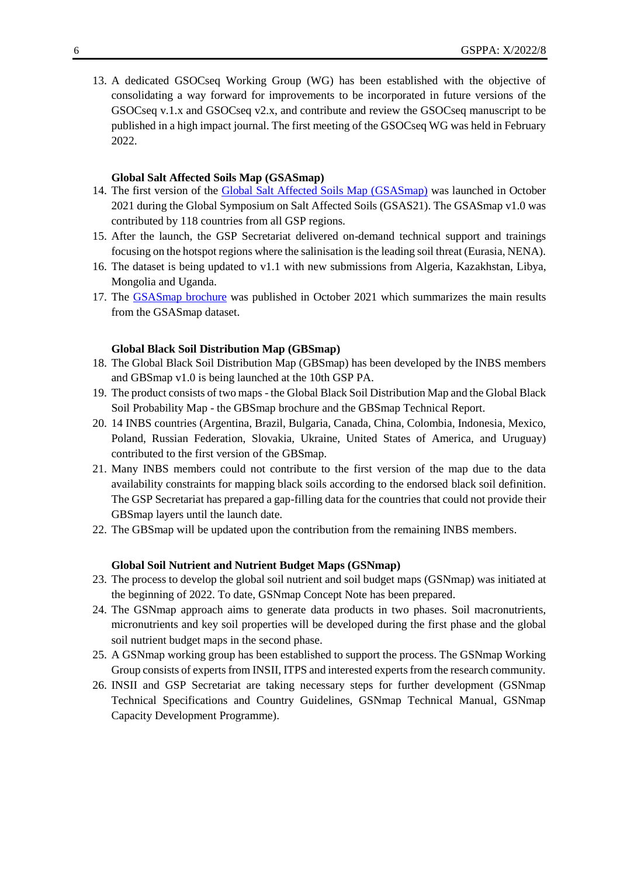13. A dedicated GSOCseq Working Group (WG) has been established with the objective of consolidating a way forward for improvements to be incorporated in future versions of the GSOCseq v.1.x and GSOCseq v2.x, and contribute and review the GSOCseq manuscript to be published in a high impact journal. The first meeting of the GSOCseq WG was held in February 2022.

#### **Global Salt Affected Soils Map (GSASmap)**

- 14. The first version of the [Global Salt Affected Soils Map \(GSASmap\)](https://www.fao.org/global-soil-partnership/gsasmap/en) was launched in October 2021 during the Global Symposium on Salt Affected Soils (GSAS21). The GSASmap v1.0 was contributed by 118 countries from all GSP regions.
- 15. After the launch, the GSP Secretariat delivered on-demand technical support and trainings focusing on the hotspot regions where the salinisation is the leading soil threat (Eurasia, NENA).
- 16. The dataset is being updated to v1.1 with new submissions from Algeria, Kazakhstan, Libya, Mongolia and Uganda.
- 17. The [GSASmap brochure](https://www.fao.org/documents/card/en/c/cb7247en) was published in October 2021 which summarizes the main results from the GSASmap dataset.

#### **Global Black Soil Distribution Map (GBSmap)**

- 18. The Global Black Soil Distribution Map (GBSmap) has been developed by the INBS members and GBSmap v1.0 is being launched at the 10th GSP PA.
- 19. The product consists of two maps the Global Black Soil Distribution Map and the Global Black Soil Probability Map - the GBSmap brochure and the GBSmap Technical Report.
- 20. 14 INBS countries (Argentina, Brazil, Bulgaria, Canada, China, Colombia, Indonesia, Mexico, Poland, Russian Federation, Slovakia, Ukraine, United States of America, and Uruguay) contributed to the first version of the GBSmap.
- 21. Many INBS members could not contribute to the first version of the map due to the data availability constraints for mapping black soils according to the endorsed [black soil definition.](https://www.fao.org/global-soil-partnership/intergovernmental-technical-panel-soils/gsoc17-implementation/internationalnetworkblacksoils/more-on-black-soils/definition-what-is-a-black-soil/en/) The GSP Secretariat has prepared a gap-filling data for the countries that could not provide their GBSmap layers until the launch date.
- 22. The GBSmap will be updated upon the contribution from the remaining INBS members.

#### **Global Soil Nutrient and Nutrient Budget Maps (GSNmap)**

- 23. The process to develop the global soil nutrient and soil budget maps (GSNmap) was initiated at the beginning of 2022. To date, GSNmap Concept Note has been prepared.
- 24. The GSNmap approach aims to generate data products in two phases. Soil macronutrients, micronutrients and key soil properties will be developed during the first phase and the global soil nutrient budget maps in the second phase.
- 25. A GSNmap working group has been established to support the process. The GSNmap Working Group consists of experts from INSII, ITPS and interested experts from the research community.
- 26. INSII and GSP Secretariat are taking necessary steps for further development (GSNmap Technical Specifications and Country Guidelines, GSNmap Technical Manual, GSNmap Capacity Development Programme).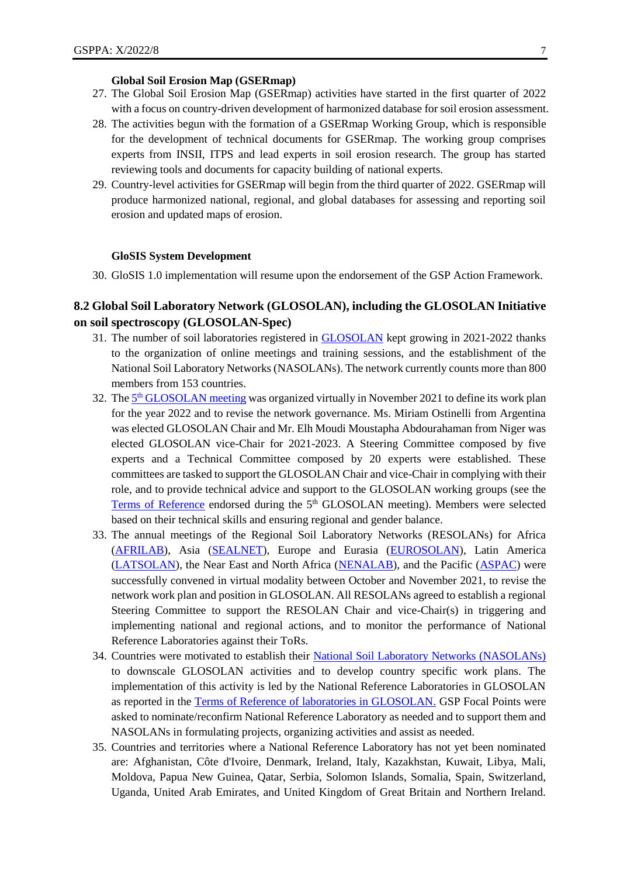#### **Global Soil Erosion Map (GSERmap)**

- 27. The Global Soil Erosion Map (GSERmap) activities have started in the first quarter of 2022 with a focus on country-driven development of harmonized database for soil erosion assessment.
- 28. The activities begun with the formation of a GSERmap Working Group, which is responsible for the development of technical documents for GSERmap. The working group comprises experts from INSII, ITPS and lead experts in soil erosion research. The group has started reviewing tools and documents for capacity building of national experts.
- 29. Country-level activities for GSERmap will begin from the third quarter of 2022. GSERmap will produce harmonized national, regional, and global databases for assessing and reporting soil erosion and updated maps of erosion.

#### **GloSIS System Development**

30. GloSIS 1.0 implementation will resume upon the endorsement of the GSP Action Framework.

# **8.2 Global Soil Laboratory Network (GLOSOLAN), including the GLOSOLAN Initiative on soil spectroscopy (GLOSOLAN-Spec)**

- 31. The number of soil laboratories registered in [GLOSOLAN](https://www.fao.org/global-soil-partnership/glosolan/en/) kept growing in 2021-2022 thanks to the organization of online meetings and training sessions, and the establishment of the National Soil Laboratory Networks (NASOLANs). The network currently counts more than 800 members from 153 countries.
- 32. The **5<sup>th</sup> GLOSOLAN** meeting was organized virtually in November 2021 to define its work plan for the year 2022 and to revise the network governance. Ms. Miriam Ostinelli from Argentina was elected GLOSOLAN Chair and Mr. Elh Moudi Moustapha Abdourahaman from Niger was elected GLOSOLAN vice-Chair for 2021-2023. A Steering Committee composed by five experts and a Technical Committee composed by 20 experts were established. These committees are tasked to support the GLOSOLAN Chair and vice-Chair in complying with their role, and to provide technical advice and support to the GLOSOLAN working groups (see the [Terms of Reference](https://www.fao.org/3/cb8506en/cb8506en.pdf) endorsed during the 5<sup>th</sup> GLOSOLAN meeting). Members were selected based on their technical skills and ensuring regional and gender balance.
- 33. The annual meetings of the Regional Soil Laboratory Networks (RESOLANs) for Africa [\(AFRILAB\)](https://www.fao.org/global-soil-partnership/glosolan/regional-soil-laboratory-networks/afrilab/en/), Asia [\(SEALNET\)](https://www.fao.org/global-soil-partnership/glosolan/regional-soil-laboratory-networks/sealnet/en/), Europe and Eurasia [\(EUROSOLAN\)](https://www.fao.org/global-soil-partnership/glosolan/regional-soil-laboratory-networks/eurosolan/en/), Latin America [\(LATSOLAN\)](https://www.fao.org/global-soil-partnership/glosolan/regional-soil-laboratory-networks/latsolan/en/), the Near East and North Africa [\(NENALAB\)](https://www.fao.org/global-soil-partnership/glosolan/regional-soil-laboratory-networks/nenalab/en/), and the Pacific [\(ASPAC\)](https://www.fao.org/global-soil-partnership/glosolan/regional-soil-laboratory-networks/aspac/en/) were successfully convened in virtual modality between October and November 2021, to revise the network work plan and position in GLOSOLAN. All RESOLANs agreed to establish a regional Steering Committee to support the RESOLAN Chair and vice-Chair(s) in triggering and implementing national and regional actions, and to monitor the performance of National Reference Laboratories against their ToRs.
- 34. Countries were motivated to establish their [National Soil Laboratory Networks \(NASOLANs\)](https://www.fao.org/global-soil-partnership/glosolan/national-soil-laboratory-networks/en/) to downscale GLOSOLAN activities and to develop country specific work plans. The implementation of this activity is led by the National Reference Laboratories in GLOSOLAN as reported in the [Terms of Reference of laboratories in GLOSOLAN.](http://www.fao.org/3/ca7509en/ca7509en.pdf) GSP Focal Points were asked to nominate/reconfirm National Reference Laboratory as needed and to support them and NASOLANs in formulating projects, organizing activities and assist as needed.
- 35. Countries and territories where a National Reference Laboratory has not yet been nominated are: Afghanistan, Côte d'Ivoire, Denmark, Ireland, Italy, Kazakhstan, Kuwait, Libya, Mali, Moldova, Papua New Guinea, Qatar, Serbia, Solomon Islands, Somalia, Spain, Switzerland, Uganda, United Arab Emirates, and United Kingdom of Great Britain and Northern Ireland.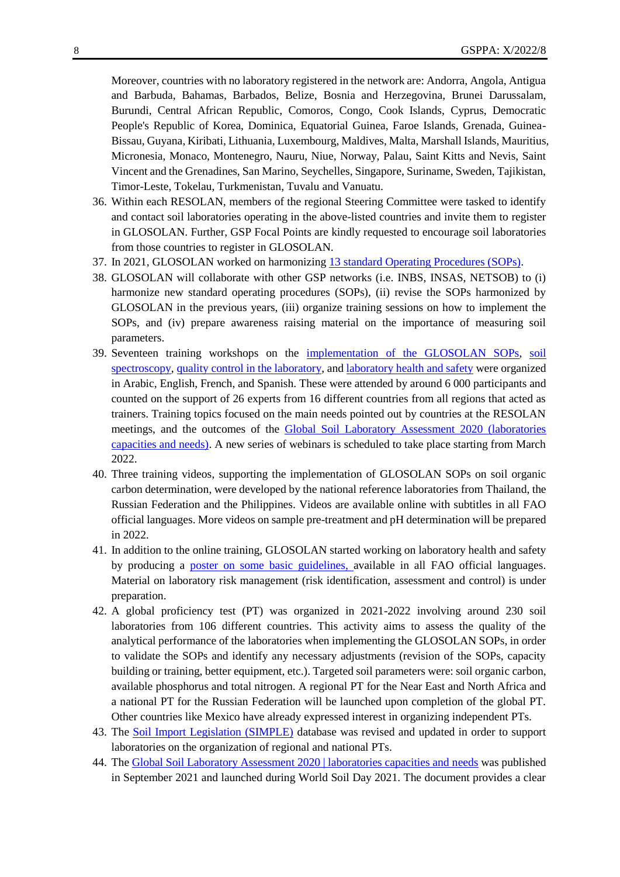Moreover, countries with no laboratory registered in the network are: Andorra, Angola, Antigua and Barbuda, Bahamas, Barbados, Belize, Bosnia and Herzegovina, Brunei Darussalam, Burundi, Central African Republic, Comoros, Congo, Cook Islands, Cyprus, Democratic People's Republic of Korea, Dominica, Equatorial Guinea, Faroe Islands, Grenada, Guinea-Bissau, Guyana, Kiribati, Lithuania, Luxembourg, Maldives, Malta, Marshall Islands, Mauritius, Micronesia, Monaco, Montenegro, Nauru, Niue, Norway, Palau, Saint Kitts and Nevis, Saint Vincent and the Grenadines, San Marino, Seychelles, Singapore, Suriname, Sweden, Tajikistan, Timor-Leste, Tokelau, Turkmenistan, Tuvalu and Vanuatu.

- 36. Within each RESOLAN, members of the regional Steering Committee were tasked to identify and contact soil laboratories operating in the above-listed countries and invite them to register in GLOSOLAN. Further, GSP Focal Points are kindly requested to encourage soil laboratories from those countries to register in GLOSOLAN.
- 37. In 2021, GLOSOLAN worked on harmonizing [13 standard Operating Procedures \(SOPs\).](https://www.fao.org/global-soil-partnership/glosolan/soil-analysis/standard-operating-procedures/en/)
- 38. GLOSOLAN will collaborate with other GSP networks (i.e. INBS, INSAS, NETSOB) to (i) harmonize new standard operating procedures (SOPs), (ii) revise the SOPs harmonized by GLOSOLAN in the previous years, (iii) organize training sessions on how to implement the SOPs, and (iv) prepare awareness raising material on the importance of measuring soil parameters.
- 39. Seventeen training workshops on the [implementation of the GLOSOLAN SOPs,](https://www.fao.org/global-soil-partnership/glosolan/capacity-development/wet-chemistry/en/) [soil](https://www.fao.org/global-soil-partnership/glosolan/capacity-development/dry-chemistry/en/)  [spectroscopy,](https://www.fao.org/global-soil-partnership/glosolan/capacity-development/dry-chemistry/en/) [quality control in the laboratory,](https://www.fao.org/global-soil-partnership/glosolan/capacity-development/qaqc/en/) an[d laboratory health and safety](https://www.fao.org/global-soil-partnership/glosolan/capacity-development/health-and-safety/en/) were organized in Arabic, English, French, and Spanish. These were attended by around 6 000 participants and counted on the support of 26 experts from 16 different countries from all regions that acted as trainers. Training topics focused on the main needs pointed out by countries at the RESOLAN meetings, and the outcomes of the [Global Soil Laboratory Assessment 2020 \(laboratories](https://www.fao.org/3/cb6395en/cb6395en.pdf)  [capacities and needs\).](https://www.fao.org/3/cb6395en/cb6395en.pdf) A new series of webinars is scheduled to take place starting from March 2022.
- 40. [Three training videos,](https://www.fao.org/global-soil-partnership/glosolan/soil-analysis/sops/volume-2-2/en/) supporting the implementation of GLOSOLAN SOPs on soil organic carbon determination, were developed by the national reference laboratories from Thailand, the Russian Federation and the Philippines. Videos are available online with subtitles in all FAO official languages. More videos on sample pre-treatment and pH determination will be prepared in 2022.
- 41. In addition to the online training, GLOSOLAN started working on laboratory health and safety by producing a [poster on some basic guidelines,](https://www.fao.org/3/cb7586en/cb7586en.pdf) available in all FAO official languages. Material on laboratory risk management (risk identification, assessment and control) is under preparation.
- 42. A global proficiency test (PT) was organized in 2021-2022 involving around 230 soil laboratories from 106 different countries. This activity aims to assess the quality of the analytical performance of the laboratories when implementing the GLOSOLAN SOPs, in order to validate the SOPs and identify any necessary adjustments (revision of the SOPs, capacity building or training, better equipment, etc.). Targeted soil parameters were: soil organic carbon, available phosphorus and total nitrogen. A regional PT for the Near East and North Africa and a national PT for the Russian Federation will be launched upon completion of the global PT. Other countries like Mexico have already expressed interest in organizing independent PTs.
- 43. The [Soil Import Legislation \(SIMPLE\)](https://www.fao.org/global-soil-partnership/glosolan/simple-soil-import-legislation/custom-control-procedure-database/en/) database was revised and updated in order to support laboratories on the organization of regional and national PTs.
- 44. Th[e Global Soil Laboratory Assessment 2020 | laboratories capacities and needs](https://www.fao.org/3/cb6395en/cb6395en.pdf) was published in September 2021 and launched during World Soil Day 2021. The document provides a clear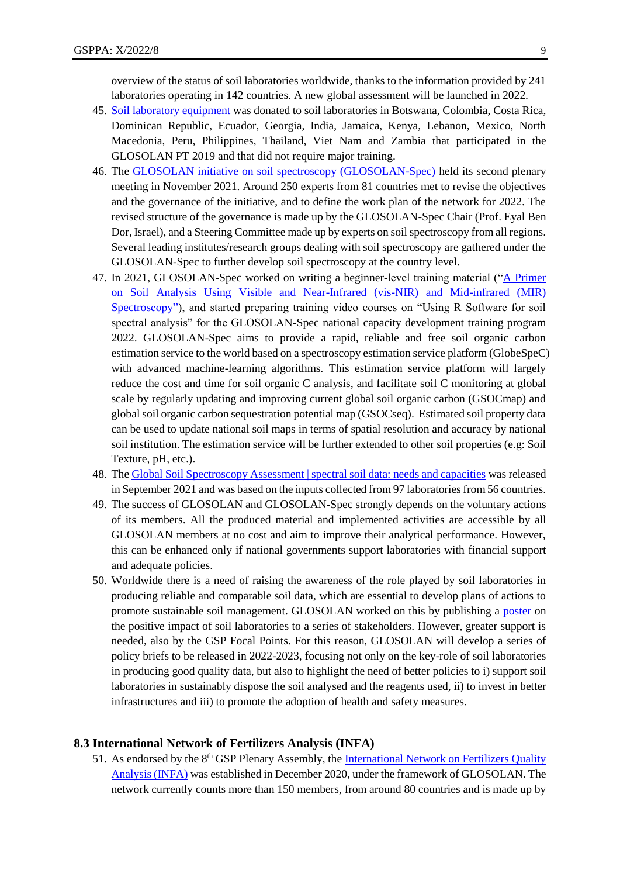overview of the status of soil laboratories worldwide, thanks to the information provided by 241 laboratories operating in 142 countries. A new global assessment will be launched in 2022.

- 45. [Soil laboratory equipment](https://www.fao.org/global-soil-partnership/glosolan/equipment/en/) was donated to soil laboratories in Botswana, Colombia, Costa Rica, Dominican Republic, Ecuador, Georgia, India, Jamaica, Kenya, Lebanon, Mexico, North Macedonia, Peru, Philippines, Thailand, Viet Nam and Zambia that participated in the GLOSOLAN PT 2019 and that did not require major training.
- 46. The [GLOSOLAN initiative on soil spectroscopy \(GLOSOLAN-Spec\)](https://www.fao.org/global-soil-partnership/glosolan/soil-analysis/dry-chemistry-spectroscopy/en/) held its second plenary meeting in November 2021. Around 250 experts from 81 countries met to revise the objectives and the governance of the initiative, and to define the work plan of the network for 2022. The revised structure of the governance is made up by the GLOSOLAN-Spec Chair (Prof. Eyal Ben Dor, Israel), and a Steering Committee made up by experts on soil spectroscopy from all regions. Several leading institutes/research groups dealing with soil spectroscopy are gathered under the GLOSOLAN-Spec to further develop soil spectroscopy at the country level.
- 47. In 2021, GLOSOLAN-Spec worked on writing a beginner-level training material ("A Primer [on Soil Analysis Using Visible and Near-Infrared \(vis-NIR\) and Mid-infrared \(MIR\)](https://www.fao.org/documents/card/en/c/cb9005en)  [Spectroscopy"\)](https://www.fao.org/documents/card/en/c/cb9005en), and started preparing training video courses on "Using R Software for soil spectral analysis" for the GLOSOLAN-Spec national capacity development training program 2022. GLOSOLAN-Spec aims to provide a rapid, reliable and free soil organic carbon estimation service to the world based on a spectroscopy estimation service platform (GlobeSpeC) with advanced machine-learning algorithms. This estimation service platform will largely reduce the cost and time for soil organic C analysis, and facilitate soil C monitoring at global scale by regularly updating and improving current global soil organic carbon (GSOCmap) and global soil organic carbon sequestration potential map (GSOCseq). Estimated soil property data can be used to update national soil maps in terms of spatial resolution and accuracy by national soil institution. The estimation service will be further extended to other soil properties (e.g: Soil Texture, pH, etc.).
- 48. Th[e Global Soil Spectroscopy Assessment | spectral soil data: needs and capacities](https://www.fao.org/3/cb6265en/cb6265en.pdf) was released in September 2021 and was based on the inputs collected from 97 laboratories from 56 countries.
- 49. The success of GLOSOLAN and GLOSOLAN-Spec strongly depends on the voluntary actions of its members. All the produced material and implemented activities are accessible by all GLOSOLAN members at no cost and aim to improve their analytical performance. However, this can be enhanced only if national governments support laboratories with financial support and adequate policies.
- 50. Worldwide there is a need of raising the awareness of the role played by soil laboratories in producing reliable and comparable soil data, which are essential to develop plans of actions to promote sustainable soil management. GLOSOLAN worked on this by publishing a [poster](https://www.fao.org/3/cb6020en/cb6020en.pdf) on the positive impact of soil laboratories to a series of stakeholders. However, greater support is needed, also by the GSP Focal Points. For this reason, GLOSOLAN will develop a series of policy briefs to be released in 2022-2023, focusing not only on the key-role of soil laboratories in producing good quality data, but also to highlight the need of better policies to i) support soil laboratories in sustainably dispose the soil analysed and the reagents used, ii) to invest in better infrastructures and iii) to promote the adoption of health and safety measures.

#### **8.3 International Network of Fertilizers Analysis (INFA)**

51. As endorsed by the  $8<sup>th</sup> GSP$  Plenary Assembly, the International Network on Fertilizers Quality [Analysis \(INFA\)](https://www.fao.org/global-soil-partnership/infa/en/) was established in December 2020, under the framework of GLOSOLAN. The network currently counts more than 150 members, from around 80 countries and is made up by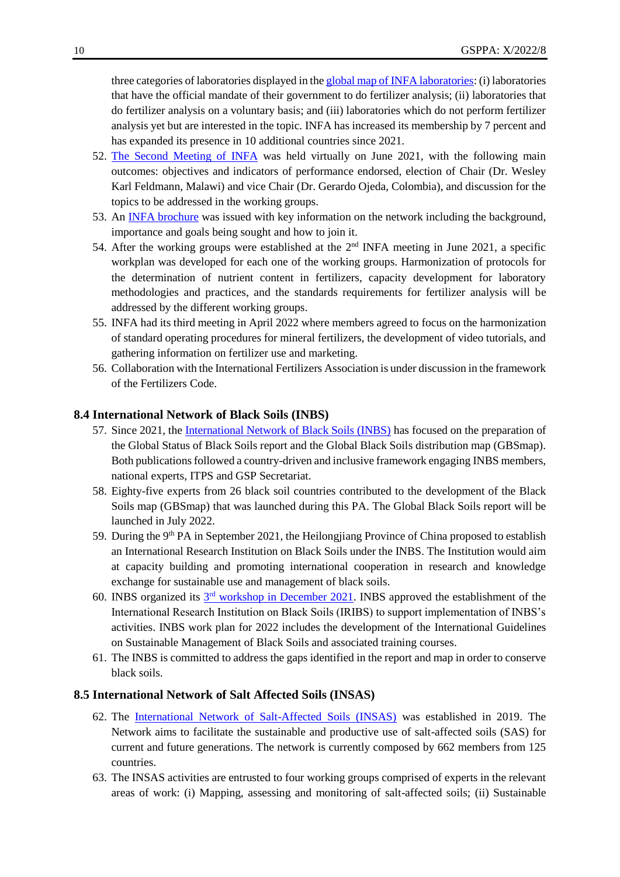three categories of laboratories displayed in the global [map of INFA laboratories:](https://www.google.com/maps/d/u/0/viewer?mid=1tvVsvslLkBmB4kaGmiZOwuOEFPvTxegD&ll=16.25315900991102%2C0&z=2) (i) laboratories that have the official mandate of their government to do fertilizer analysis; (ii) laboratories that do fertilizer analysis on a voluntary basis; and (iii) laboratories which do not perform fertilizer analysis yet but are interested in the topic. INFA has increased its membership by 7 percent and has expanded its presence in 10 additional countries since 2021.

- 52. [The Second Meeting of INFA](https://www.fao.org/global-soil-partnership/infa/second-meeting-of-the-international-network-on-fertilizers-analysis-infa/en/) was held virtually on June 2021, with the following main outcomes: objectives and indicators of performance endorsed, election of Chair (Dr. Wesley Karl Feldmann, Malawi) and vice Chair (Dr. Gerardo Ojeda, Colombia), and discussion for the topics to be addressed in the working groups.
- 53. An [INFA brochure](http://www.fao.org/3/cb4188en/cb4188en.pdf) was issued with key information on the network including the background, importance and goals being sought and how to join it.
- 54. After the working groups were established at the  $2<sup>nd</sup>$  INFA meeting in June 2021, a specific workplan was developed for each one of the working groups. Harmonization of protocols for the determination of nutrient content in fertilizers, capacity development for laboratory methodologies and practices, and the standards requirements for fertilizer analysis will be addressed by the different working groups.
- 55. INFA had its third meeting in April 2022 where members agreed to focus on the harmonization of standard operating procedures for mineral fertilizers, the development of video tutorials, and gathering information on fertilizer use and marketing.
- 56. Collaboration with the International Fertilizers Association is under discussion in the framework of the Fertilizers Code.

#### **8.4 International Network of Black Soils (INBS)**

- 57. Since 2021, the *International Network of Black Soils (INBS)* has focused on the preparation of the Global Status of Black Soils report and the Global Black Soils distribution map (GBSmap). Both publications followed a country-driven and inclusive framework engaging INBS members, national experts, ITPS and GSP Secretariat.
- 58. Eighty-five experts from 26 black soil countries contributed to the development of the Black Soils map (GBSmap) that was launched during this PA. The Global Black Soils report will be launched in July 2022.
- 59. During the 9<sup>th</sup> PA in September 2021, the Heilongjiang Province of China proposed to establish an International Research Institution on Black Soils under the INBS. The Institution would aim at capacity building and promoting international cooperation in research and knowledge exchange for sustainable use and management of black soils.
- 60. INBS organized its  $3<sup>rd</sup>$  [workshop in December 2021.](https://www.fao.org/global-soil-partnership/inbs/3rd-inbs/en/) INBS approved the establishment of the International Research Institution on Black Soils (IRIBS) to support implementation of INBS's activities. INBS work plan for 2022 includes the development of the International Guidelines on Sustainable Management of Black Soils and associated training courses.
- 61. The INBS is committed to address the gaps identified in the report and map in order to conserve black soils.

# **8.5 International Network of Salt Affected Soils (INSAS)**

- 62. The [International Network of Salt-Affected Soils \(INSAS\)](https://www.fao.org/global-soil-partnership/insas/en/) was established in 2019. The Network aims to facilitate the sustainable and productive use of salt-affected soils (SAS) for current and future generations. The network is currently composed by 662 members from 125 countries.
- 63. The INSAS activities are entrusted to four working groups comprised of experts in the relevant areas of work: (i) Mapping, assessing and monitoring of salt-affected soils; (ii) Sustainable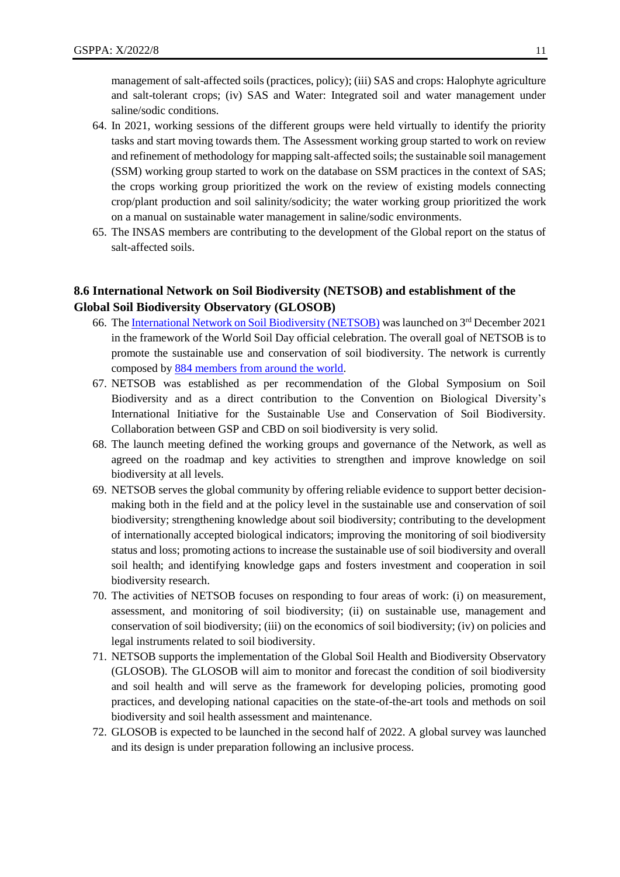management of salt-affected soils (practices, policy); (iii) SAS and crops: Halophyte agriculture and salt-tolerant crops; (iv) SAS and Water: Integrated soil and water management under saline/sodic conditions.

- 64. In 2021, working sessions of the different groups were held virtually to identify the priority tasks and start moving towards them. The Assessment working group started to work on review and refinement of methodology for mapping salt-affected soils; the sustainable soil management (SSM) working group started to work on the database on SSM practices in the context of SAS; the crops working group prioritized the work on the review of existing models connecting crop/plant production and soil salinity/sodicity; the water working group prioritized the work on a manual on sustainable water management in saline/sodic environments.
- 65. The INSAS members are contributing to the development of the Global report on the status of salt-affected soils.

# **8.6 International Network on Soil Biodiversity (NETSOB) and establishment of the Global Soil Biodiversity Observatory (GLOSOB)**

- 66. Th[e International Network on Soil Biodiversity \(NETSOB\)](https://www.fao.org/global-soil-partnership/netsob/en/) was launched on  $3<sup>rd</sup>$  December 2021 in the framework of the World Soil Day official celebration. The overall goal of NETSOB is to promote the sustainable use and conservation of soil biodiversity. The network is currently composed by [884 members from around the world.](https://www.google.com/maps/d/u/0/viewer?mid=15qhC0IIw-UPfFc07leFw8LdhO9cVp71T&ll=11.998596544172068%2C0&z=1)
- 67. NETSOB was established as per recommendation of the Global Symposium on Soil Biodiversity and as a direct contribution to the Convention on Biological Diversity's International Initiative for the Sustainable Use and Conservation of Soil Biodiversity. Collaboration between GSP and CBD on soil biodiversity is very solid.
- 68. The launch meeting defined the working groups and governance of the Network, as well as agreed on the roadmap and key activities to strengthen and improve knowledge on soil biodiversity at all levels.
- 69. NETSOB serves the global community by offering reliable evidence to support better decisionmaking both in the field and at the policy level in the sustainable use and conservation of soil biodiversity; strengthening knowledge about soil biodiversity; contributing to the development of internationally accepted biological indicators; improving the monitoring of soil biodiversity status and loss; promoting actions to increase the sustainable use of soil biodiversity and overall soil health; and identifying knowledge gaps and fosters investment and cooperation in soil biodiversity research.
- 70. The activities of NETSOB focuses on responding to four areas of work: (i) on measurement, assessment, and monitoring of soil biodiversity; (ii) on sustainable use, management and conservation of soil biodiversity; (iii) on the economics of soil biodiversity; (iv) on policies and legal instruments related to soil biodiversity.
- 71. NETSOB supports the implementation of the Global Soil Health and Biodiversity Observatory (GLOSOB). The GLOSOB will aim to monitor and forecast the condition of soil biodiversity and soil health and will serve as the framework for developing policies, promoting good practices, and developing national capacities on the state-of-the-art tools and methods on soil biodiversity and soil health assessment and maintenance.
- 72. GLOSOB is expected to be launched in the second half of 2022. A global survey was launched and its design is under preparation following an inclusive process.